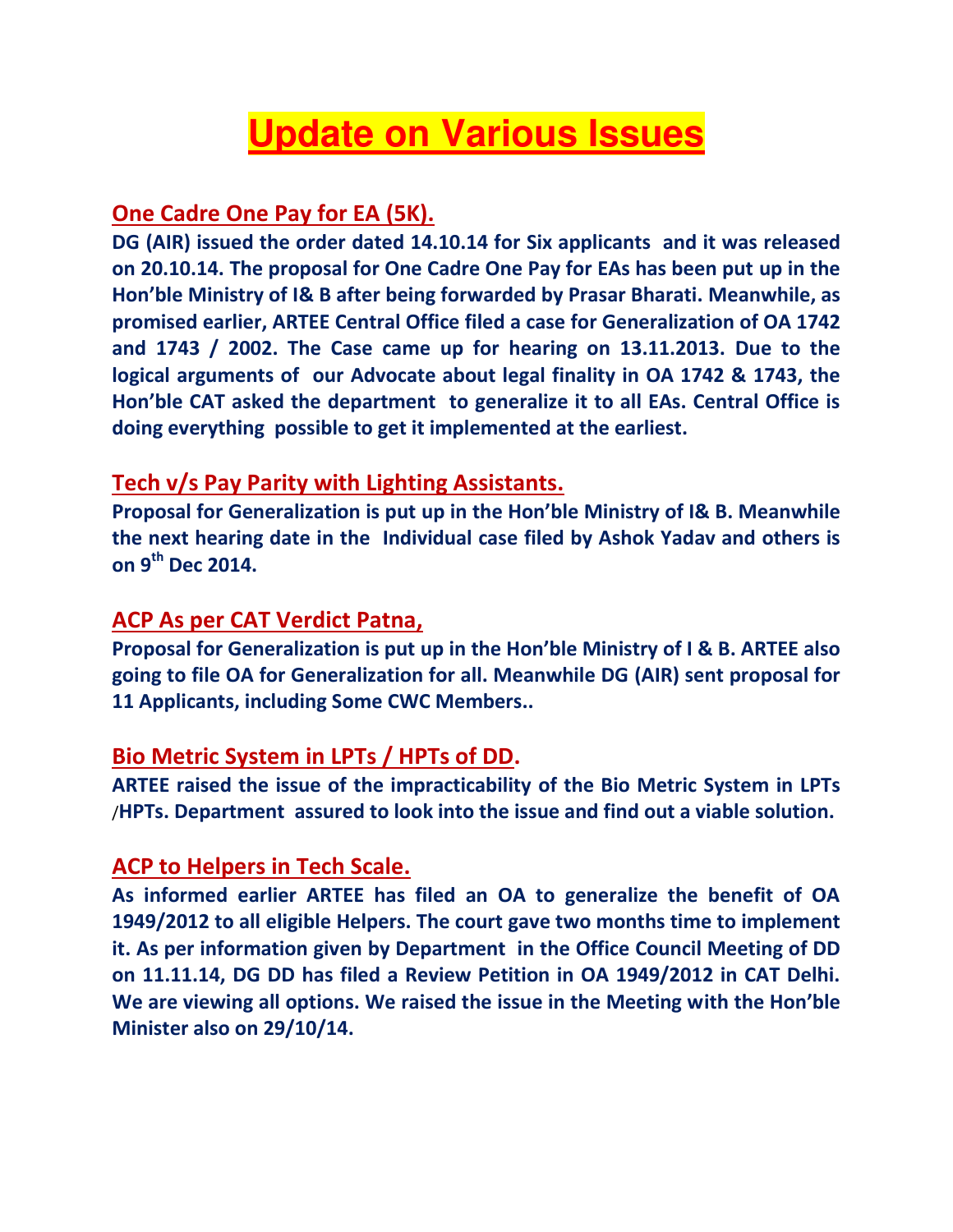## **Update on Various Issues**

## **One Cadre One Pay for EA (5K).**

**DG (AIR) issued the order dated 14.10.14 for Six applicants and it was released on 20.10.14. The proposal for One Cadre One Pay for EAs has been put up in the Hon'ble Ministry of I& B after being forwarded by Prasar Bharati. Meanwhile, as promised earlier, ARTEE Central Office filed a case for Generalization of OA 1742 and 1743 / 2002. The Case came up for hearing on 13.11.2013. Due to the logical arguments of our Advocate about legal finality in OA 1742 & 1743, the Hon'ble CAT asked the department to generalize it to all EAs. Central Office is doing everything possible to get it implemented at the earliest.** 

#### **Tech v/s Pay Parity with Lighting Assistants.**

**Proposal for Generalization is put up in the Hon'ble Ministry of I& B. Meanwhile the next hearing date in the Individual case filed by Ashok Yadav and others is on 9th Dec 2014.** 

#### **ACP As per CAT Verdict Patna,**

**Proposal for Generalization is put up in the Hon'ble Ministry of I & B. ARTEE also going to file OA for Generalization for all. Meanwhile DG (AIR) sent proposal for 11 Applicants, including Some CWC Members..** 

#### **Bio Metric System in LPTs / HPTs of DD.**

**ARTEE raised the issue of the impracticability of the Bio Metric System in LPTs** /**HPTs. Department assured to look into the issue and find out a viable solution.** 

#### **ACP to Helpers in Tech Scale.**

**As informed earlier ARTEE has filed an OA to generalize the benefit of OA 1949/2012 to all eligible Helpers. The court gave two months time to implement it. As per information given by Department in the Office Council Meeting of DD on 11.11.14, DG DD has filed a Review Petition in OA 1949/2012 in CAT Delhi. We are viewing all options. We raised the issue in the Meeting with the Hon'ble Minister also on 29/10/14.**